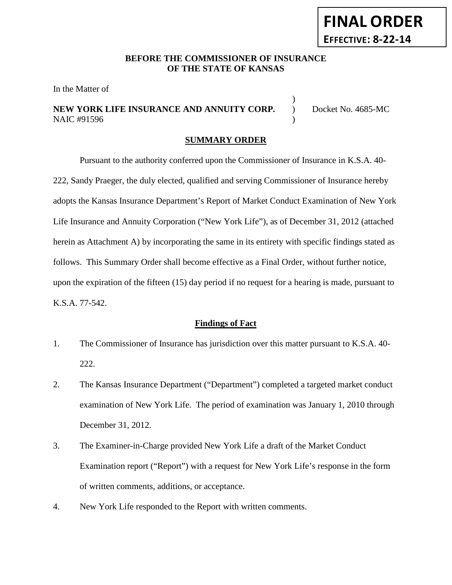# **FINAL ORDER EFFECTIVE: 8-22-14**

# **BEFORE THE COMMISSIONER OF INSURANCE OF THE STATE OF KANSAS**

In the Matter of

# **NEW YORK LIFE INSURANCE AND ANNUITY CORP.**  $\overrightarrow{O}$  Docket No. 4685-MC NAIC #91596 )

)

#### **SUMMARY ORDER**

Pursuant to the authority conferred upon the Commissioner of Insurance in K.S.A. 40- 222, Sandy Praeger, the duly elected, qualified and serving Commissioner of Insurance hereby adopts the Kansas Insurance Department's Report of Market Conduct Examination of New York Life Insurance and Annuity Corporation ("New York Life"), as of December 31, 2012 (attached herein as Attachment A) by incorporating the same in its entirety with specific findings stated as follows. This Summary Order shall become effective as a Final Order, without further notice, upon the expiration of the fifteen (15) day period if no request for a hearing is made, pursuant to K.S.A. 77-542.

#### **Findings of Fact**

- 1. The Commissioner of Insurance has jurisdiction over this matter pursuant to K.S.A. 40- 222.
- 2. The Kansas Insurance Department ("Department") completed a targeted market conduct examination of New York Life. The period of examination was January 1, 2010 through December 31, 2012.
- 3. The Examiner-in-Charge provided New York Life a draft of the Market Conduct Examination report ("Report") with a request for New York Life's response in the form of written comments, additions, or acceptance.
- 4. New York Life responded to the Report with written comments.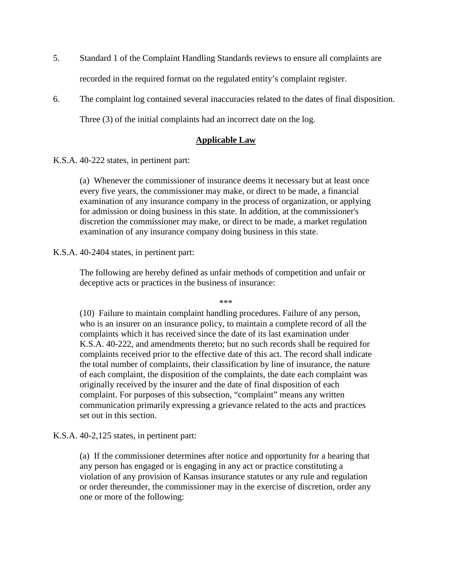- 5. Standard 1 of the Complaint Handling Standards reviews to ensure all complaints are recorded in the required format on the regulated entity's complaint register.
- 6. The complaint log contained several inaccuracies related to the dates of final disposition. Three (3) of the initial complaints had an incorrect date on the log.

# **Applicable Law**

K.S.A. 40-222 states, in pertinent part:

(a) Whenever the commissioner of insurance deems it necessary but at least once every five years, the commissioner may make, or direct to be made, a financial examination of any insurance company in the process of organization, or applying for admission or doing business in this state. In addition, at the commissioner's discretion the commissioner may make, or direct to be made, a market regulation examination of any insurance company doing business in this state.

K.S.A. 40-2404 states, in pertinent part:

The following are hereby defined as unfair methods of competition and unfair or deceptive acts or practices in the business of insurance:

\*\*\*

(10) Failure to maintain complaint handling procedures. Failure of any person, who is an insurer on an insurance policy, to maintain a complete record of all the complaints which it has received since the date of its last examination under K.S.A. 40-222, and amendments thereto; but no such records shall be required for complaints received prior to the effective date of this act. The record shall indicate the total number of complaints, their classification by line of insurance, the nature of each complaint, the disposition of the complaints, the date each complaint was originally received by the insurer and the date of final disposition of each complaint. For purposes of this subsection, "complaint" means any written communication primarily expressing a grievance related to the acts and practices set out in this section.

K.S.A. 40-2,125 states, in pertinent part:

(a) If the commissioner determines after notice and opportunity for a hearing that any person has engaged or is engaging in any act or practice constituting a violation of any provision of Kansas insurance statutes or any rule and regulation or order thereunder, the commissioner may in the exercise of discretion, order any one or more of the following: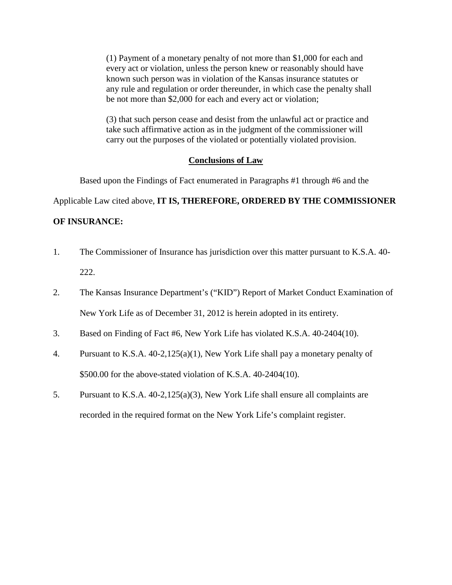(1) Payment of a monetary penalty of not more than \$1,000 for each and every act or violation, unless the person knew or reasonably should have known such person was in violation of the Kansas insurance statutes or any rule and regulation or order thereunder, in which case the penalty shall be not more than \$2,000 for each and every act or violation;

(3) that such person cease and desist from the unlawful act or practice and take such affirmative action as in the judgment of the commissioner will carry out the purposes of the violated or potentially violated provision.

#### **Conclusions of Law**

Based upon the Findings of Fact enumerated in Paragraphs #1 through #6 and the

Applicable Law cited above, **IT IS, THEREFORE, ORDERED BY THE COMMISSIONER** 

# **OF INSURANCE:**

- 1. The Commissioner of Insurance has jurisdiction over this matter pursuant to K.S.A. 40- 222.
- 2. The Kansas Insurance Department's ("KID") Report of Market Conduct Examination of New York Life as of December 31, 2012 is herein adopted in its entirety.
- 3. Based on Finding of Fact #6, New York Life has violated K.S.A. 40-2404(10).
- 4. Pursuant to K.S.A. 40-2,125(a)(1), New York Life shall pay a monetary penalty of \$500.00 for the above-stated violation of K.S.A. 40-2404(10).
- 5. Pursuant to K.S.A. 40-2,125(a)(3), New York Life shall ensure all complaints are recorded in the required format on the New York Life's complaint register.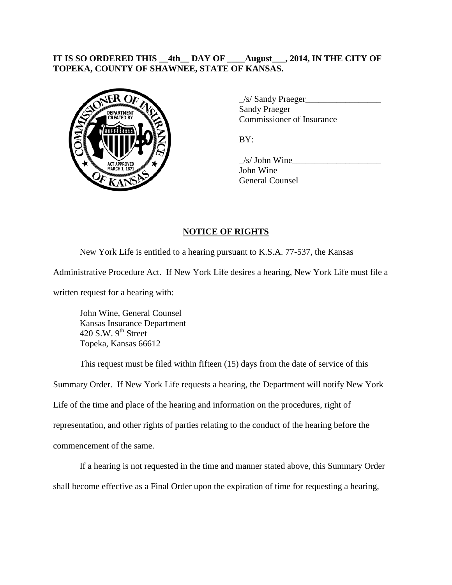# **IT IS SO ORDERED THIS \_\_4th\_\_ DAY OF \_\_\_\_August\_\_\_, 2014, IN THE CITY OF TOPEKA, COUNTY OF SHAWNEE, STATE OF KANSAS.**



\_/s/ Sandy Praeger\_\_\_\_\_\_\_\_\_\_\_\_\_\_\_\_\_ Sandy Praeger Commissioner of Insurance

BY:

 $\frac{1}{s}$  John Wine John Wine General Counsel

# **NOTICE OF RIGHTS**

New York Life is entitled to a hearing pursuant to K.S.A. 77-537, the Kansas

Administrative Procedure Act. If New York Life desires a hearing, New York Life must file a

written request for a hearing with:

John Wine, General Counsel Kansas Insurance Department 420 S.W.  $9<sup>th</sup>$  Street Topeka, Kansas 66612

This request must be filed within fifteen (15) days from the date of service of this

Summary Order. If New York Life requests a hearing, the Department will notify New York Life of the time and place of the hearing and information on the procedures, right of representation, and other rights of parties relating to the conduct of the hearing before the commencement of the same.

If a hearing is not requested in the time and manner stated above, this Summary Order shall become effective as a Final Order upon the expiration of time for requesting a hearing,